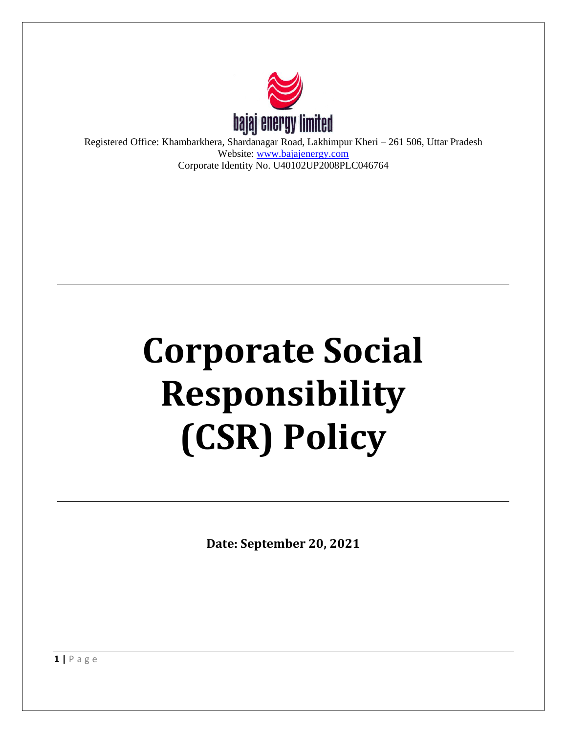

Registered Office: Khambarkhera, Shardanagar Road, Lakhimpur Kheri – 261 506, Uttar Pradesh Website: [www.bajajenergy.com](http://www.bajajenergy.com/) Corporate Identity No. U40102UP2008PLC046764

# **Corporate Social Responsibility (CSR) Policy**

**Date: September 20, 2021**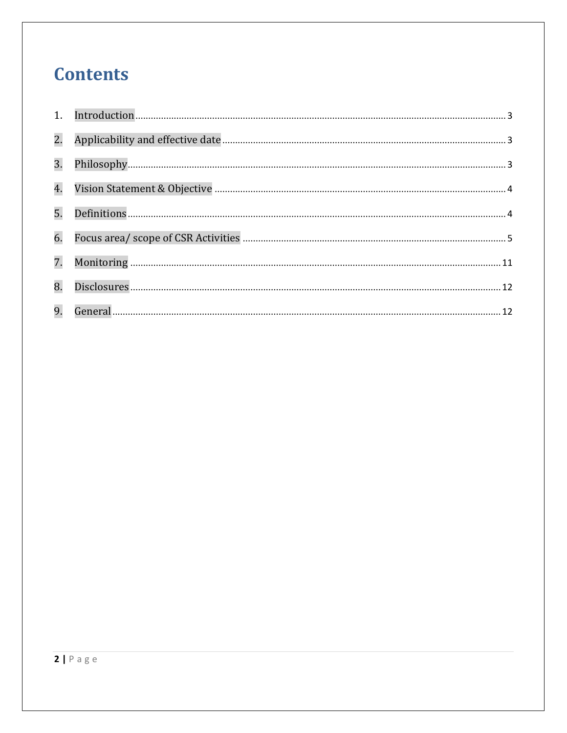## **Contents**

| 2.               |  |
|------------------|--|
| 3.               |  |
| $\overline{4}$ . |  |
| 5.               |  |
| 6.               |  |
| 7.               |  |
| 8.               |  |
| 9.               |  |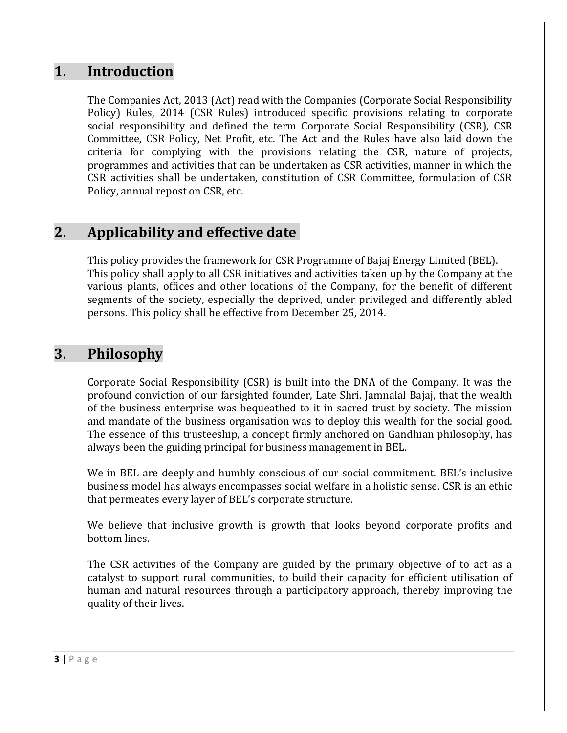## <span id="page-2-0"></span>**1. Introduction**

The Companies Act, 2013 (Act) read with the Companies (Corporate Social Responsibility Policy) Rules, 2014 (CSR Rules) introduced specific provisions relating to corporate social responsibility and defined the term Corporate Social Responsibility (CSR), CSR Committee, CSR Policy, Net Profit, etc. The Act and the Rules have also laid down the criteria for complying with the provisions relating the CSR, nature of projects, programmes and activities that can be undertaken as CSR activities, manner in which the CSR activities shall be undertaken, constitution of CSR Committee, formulation of CSR Policy, annual repost on CSR, etc.

## <span id="page-2-1"></span>**2. Applicability and effective date**

This policy provides the framework for CSR Programme of Bajaj Energy Limited (BEL). This policy shall apply to all CSR initiatives and activities taken up by the Company at the various plants, offices and other locations of the Company, for the benefit of different segments of the society, especially the deprived, under privileged and differently abled persons. This policy shall be effective from December 25, 2014.

## <span id="page-2-2"></span>**3. Philosophy**

Corporate Social Responsibility (CSR) is built into the DNA of the Company. It was the profound conviction of our farsighted founder, Late Shri. Jamnalal Bajaj, that the wealth of the business enterprise was bequeathed to it in sacred trust by society. The mission and mandate of the business organisation was to deploy this wealth for the social good. The essence of this trusteeship, a concept firmly anchored on Gandhian philosophy, has always been the guiding principal for business management in BEL.

We in BEL are deeply and humbly conscious of our social commitment. BEL's inclusive business model has always encompasses social welfare in a holistic sense. CSR is an ethic that permeates every layer of BEL's corporate structure.

We believe that inclusive growth is growth that looks beyond corporate profits and bottom lines.

The CSR activities of the Company are guided by the primary objective of to act as a catalyst to support rural communities, to build their capacity for efficient utilisation of human and natural resources through a participatory approach, thereby improving the quality of their lives.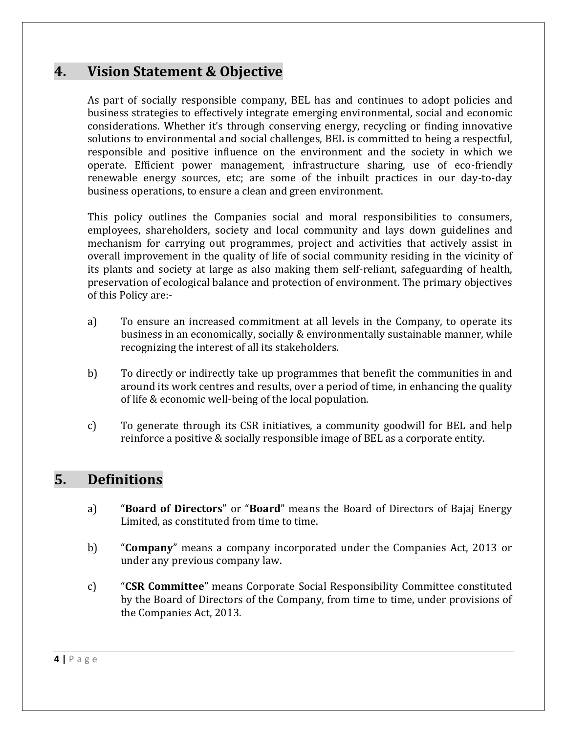## <span id="page-3-0"></span>**4. Vision Statement & Objective**

As part of socially responsible company, BEL has and continues to adopt policies and business strategies to effectively integrate emerging environmental, social and economic considerations. Whether it's through conserving energy, recycling or finding innovative solutions to environmental and social challenges, BEL is committed to being a respectful, responsible and positive influence on the environment and the society in which we operate. Efficient power management, infrastructure sharing, use of eco-friendly renewable energy sources, etc; are some of the inbuilt practices in our day-to-day business operations, to ensure a clean and green environment.

This policy outlines the Companies social and moral responsibilities to consumers, employees, shareholders, society and local community and lays down guidelines and mechanism for carrying out programmes, project and activities that actively assist in overall improvement in the quality of life of social community residing in the vicinity of its plants and society at large as also making them self-reliant, safeguarding of health, preservation of ecological balance and protection of environment. The primary objectives of this Policy are:-

- a) To ensure an increased commitment at all levels in the Company, to operate its business in an economically, socially & environmentally sustainable manner, while recognizing the interest of all its stakeholders.
- b) To directly or indirectly take up programmes that benefit the communities in and around its work centres and results, over a period of time, in enhancing the quality of life & economic well-being of the local population.
- c) To generate through its CSR initiatives, a community goodwill for BEL and help reinforce a positive & socially responsible image of BEL as a corporate entity.

## <span id="page-3-1"></span>**5. Definitions**

- a) "**Board of Directors**" or "**Board**" means the Board of Directors of Bajaj Energy Limited, as constituted from time to time.
- b) "**Company**" means a company incorporated under the Companies Act, 2013 or under any previous company law.
- c) "**CSR Committee**" means Corporate Social Responsibility Committee constituted by the Board of Directors of the Company, from time to time, under provisions of the Companies Act, 2013.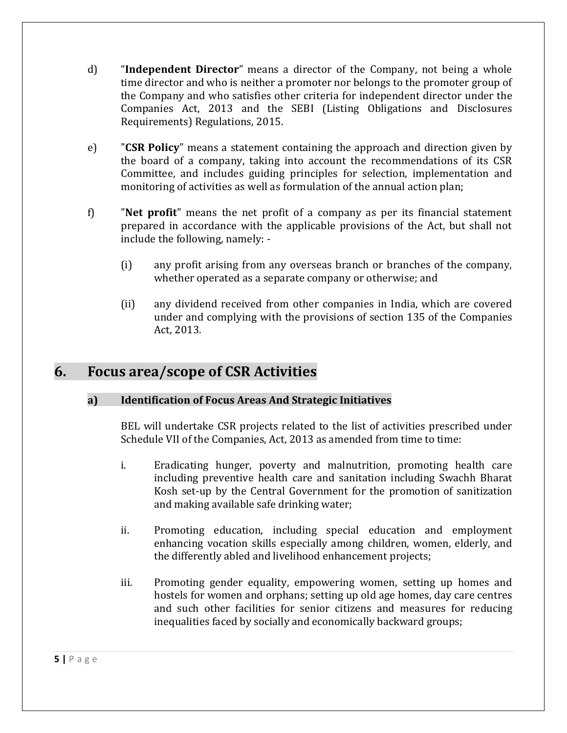- d) "**Independent Director**" means a director of the Company, not being a whole time director and who is neither a promoter nor belongs to the promoter group of the Company and who satisfies other criteria for independent director under the Companies Act, 2013 and the SEBI (Listing Obligations and Disclosures Requirements) Regulations, 2015.
- e) "**CSR Policy**" means a statement containing the approach and direction given by the board of a company, taking into account the recommendations of its CSR Committee, and includes guiding principles for selection, implementation and monitoring of activities as well as formulation of the annual action plan;
- f) "**Net profit**" means the net profit of a company as per its financial statement prepared in accordance with the applicable provisions of the Act, but shall not include the following, namely: -
	- (i) any profit arising from any overseas branch or branches of the company, whether operated as a separate company or otherwise; and
	- (ii) any dividend received from other companies in India, which are covered under and complying with the provisions of section 135 of the Companies Act, 2013.

## <span id="page-4-0"></span>**6. Focus area/scope of CSR Activities**

#### **a) Identification of Focus Areas And Strategic Initiatives**

BEL will undertake CSR projects related to the list of activities prescribed under Schedule VII of the Companies, Act, 2013 as amended from time to time:

- i. Eradicating hunger, poverty and malnutrition, promoting health care including preventive health care and sanitation including Swachh Bharat Kosh set-up by the Central Government for the promotion of sanitization and making available safe drinking water;
- ii. Promoting education, including special education and employment enhancing vocation skills especially among children, women, elderly, and the differently abled and livelihood enhancement projects;
- iii. Promoting gender equality, empowering women, setting up homes and hostels for women and orphans; setting up old age homes, day care centres and such other facilities for senior citizens and measures for reducing inequalities faced by socially and economically backward groups;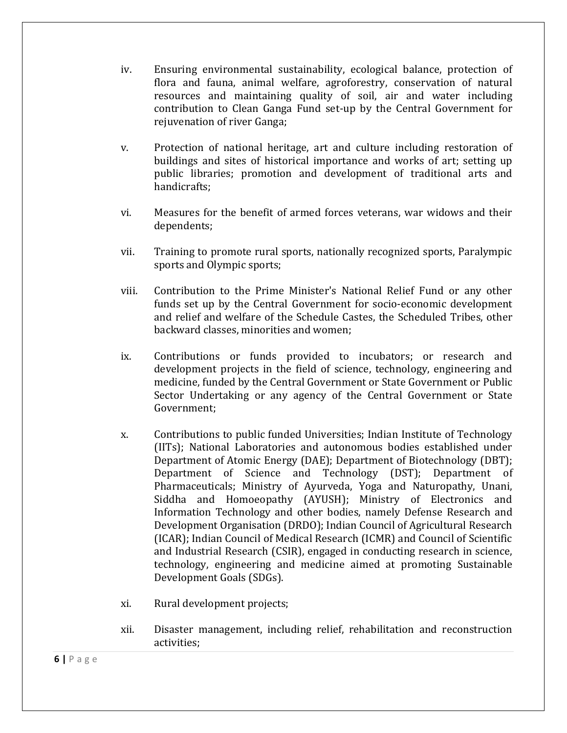- iv. Ensuring environmental sustainability, ecological balance, protection of flora and fauna, animal welfare, agroforestry, conservation of natural resources and maintaining quality of soil, air and water including contribution to Clean Ganga Fund set-up by the Central Government for rejuvenation of river Ganga;
- v. Protection of national heritage, art and culture including restoration of buildings and sites of historical importance and works of art; setting up public libraries; promotion and development of traditional arts and handicrafts;
- vi. Measures for the benefit of armed forces veterans, war widows and their dependents;
- vii. Training to promote rural sports, nationally recognized sports, Paralympic sports and Olympic sports;
- viii. Contribution to the Prime Minister's National Relief Fund or any other funds set up by the Central Government for socio-economic development and relief and welfare of the Schedule Castes, the Scheduled Tribes, other backward classes, minorities and women;
- ix. Contributions or funds provided to incubators; or research and development projects in the field of science, technology, engineering and medicine, funded by the Central Government or State Government or Public Sector Undertaking or any agency of the Central Government or State Government;
- x. Contributions to public funded Universities; Indian Institute of Technology (IITs); National Laboratories and autonomous bodies established under Department of Atomic Energy (DAE); Department of Biotechnology (DBT); Department of Science and Technology (DST); Department of Pharmaceuticals; Ministry of Ayurveda, Yoga and Naturopathy, Unani, Siddha and Homoeopathy (AYUSH); Ministry of Electronics and Information Technology and other bodies, namely Defense Research and Development Organisation (DRDO); Indian Council of Agricultural Research (ICAR); Indian Council of Medical Research (ICMR) and Council of Scientific and Industrial Research (CSIR), engaged in conducting research in science, technology, engineering and medicine aimed at promoting Sustainable Development Goals (SDGs).
- xi. Rural development projects;
- xii. Disaster management, including relief, rehabilitation and reconstruction activities;

**6 |** P a g e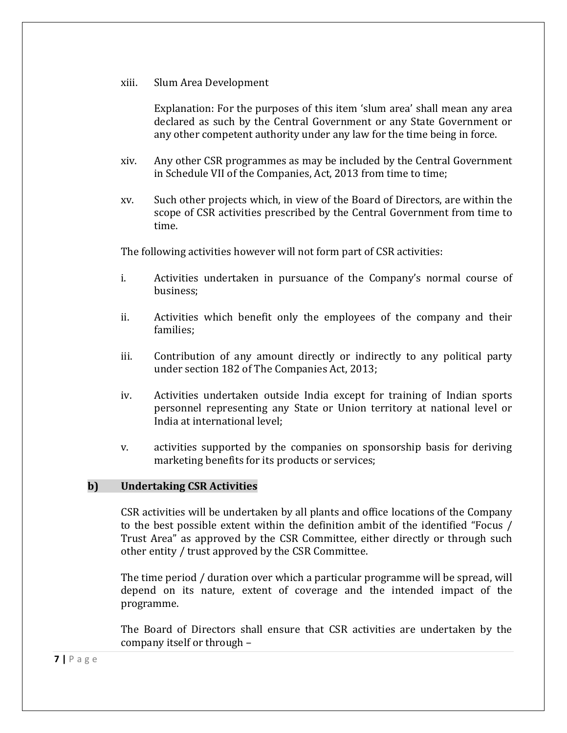#### xiii. Slum Area Development

Explanation: For the purposes of this item 'slum area' shall mean any area declared as such by the Central Government or any State Government or any other competent authority under any law for the time being in force.

- xiv. Any other CSR programmes as may be included by the Central Government in Schedule VII of the Companies, Act, 2013 from time to time;
- xv. Such other projects which, in view of the Board of Directors, are within the scope of CSR activities prescribed by the Central Government from time to time.

The following activities however will not form part of CSR activities:

- i. Activities undertaken in pursuance of the Company's normal course of business;
- ii. Activities which benefit only the employees of the company and their families;
- iii. Contribution of any amount directly or indirectly to any political party under section 182 of The Companies Act, 2013;
- iv. Activities undertaken outside India except for training of Indian sports personnel representing any State or Union territory at national level or India at international level;
- v. activities supported by the companies on sponsorship basis for deriving marketing benefits for its products or services;

#### **b) Undertaking CSR Activities**

CSR activities will be undertaken by all plants and office locations of the Company to the best possible extent within the definition ambit of the identified "Focus / Trust Area" as approved by the CSR Committee, either directly or through such other entity / trust approved by the CSR Committee.

The time period / duration over which a particular programme will be spread, will depend on its nature, extent of coverage and the intended impact of the programme.

The Board of Directors shall ensure that CSR activities are undertaken by the company itself or through –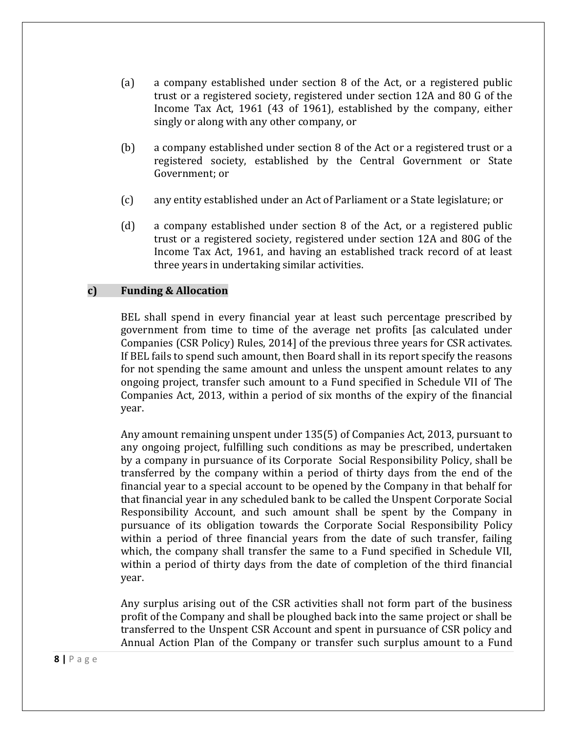- (a) a company established under section 8 of the Act, or a registered public trust or a registered society, registered under section 12A and 80 G of the Income Tax Act, 1961 (43 of 1961), established by the company, either singly or along with any other company, or
- (b) a company established under section 8 of the Act or a registered trust or a registered society, established by the Central Government or State Government; or
- (c) any entity established under an Act of Parliament or a State legislature; or
- (d) a company established under section 8 of the Act, or a registered public trust or a registered society, registered under section 12A and 80G of the Income Tax Act, 1961, and having an established track record of at least three years in undertaking similar activities.

#### **c) Funding & Allocation**

BEL shall spend in every financial year at least such percentage prescribed by government from time to time of the average net profits [as calculated under Companies (CSR Policy) Rules, 2014] of the previous three years for CSR activates. If BEL fails to spend such amount, then Board shall in its report specify the reasons for not spending the same amount and unless the unspent amount relates to any ongoing project, transfer such amount to a Fund specified in Schedule VII of The Companies Act, 2013, within a period of six months of the expiry of the financial year.

Any amount remaining unspent under 135(5) of Companies Act, 2013, pursuant to any ongoing project, fulfilling such conditions as may be prescribed, undertaken by a company in pursuance of its Corporate Social Responsibility Policy, shall be transferred by the company within a period of thirty days from the end of the financial year to a special account to be opened by the Company in that behalf for that financial year in any scheduled bank to be called the Unspent Corporate Social Responsibility Account, and such amount shall be spent by the Company in pursuance of its obligation towards the Corporate Social Responsibility Policy within a period of three financial years from the date of such transfer, failing which, the company shall transfer the same to a Fund specified in Schedule VII, within a period of thirty days from the date of completion of the third financial year.

Any surplus arising out of the CSR activities shall not form part of the business profit of the Company and shall be ploughed back into the same project or shall be transferred to the Unspent CSR Account and spent in pursuance of CSR policy and Annual Action Plan of the Company or transfer such surplus amount to a Fund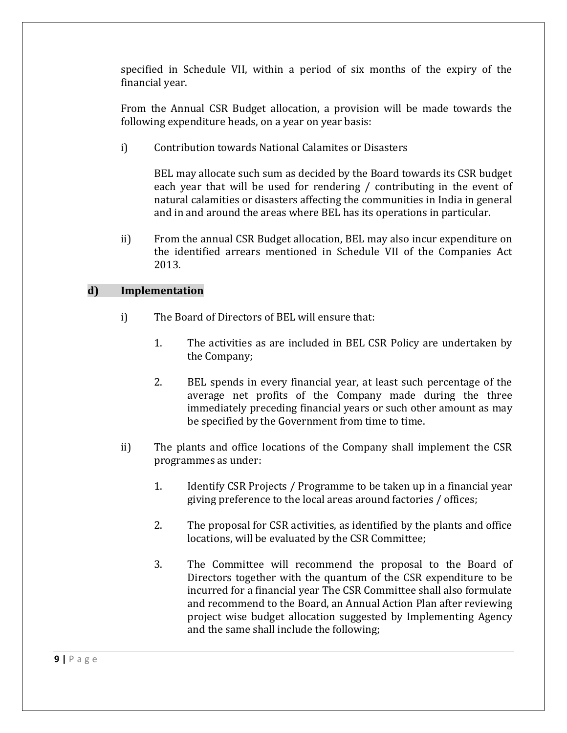specified in Schedule VII, within a period of six months of the expiry of the financial year.

From the Annual CSR Budget allocation, a provision will be made towards the following expenditure heads, on a year on year basis:

i) Contribution towards National Calamites or Disasters

BEL may allocate such sum as decided by the Board towards its CSR budget each year that will be used for rendering / contributing in the event of natural calamities or disasters affecting the communities in India in general and in and around the areas where BEL has its operations in particular.

ii) From the annual CSR Budget allocation, BEL may also incur expenditure on the identified arrears mentioned in Schedule VII of the Companies Act 2013.

#### **d) Implementation**

- i) The Board of Directors of BEL will ensure that:
	- 1. The activities as are included in BEL CSR Policy are undertaken by the Company;
	- 2. BEL spends in every financial year, at least such percentage of the average net profits of the Company made during the three immediately preceding financial years or such other amount as may be specified by the Government from time to time.
- ii) The plants and office locations of the Company shall implement the CSR programmes as under:
	- 1. Identify CSR Projects / Programme to be taken up in a financial year giving preference to the local areas around factories / offices;
	- 2. The proposal for CSR activities, as identified by the plants and office locations, will be evaluated by the CSR Committee;
	- 3. The Committee will recommend the proposal to the Board of Directors together with the quantum of the CSR expenditure to be incurred for a financial year The CSR Committee shall also formulate and recommend to the Board, an Annual Action Plan after reviewing project wise budget allocation suggested by Implementing Agency and the same shall include the following;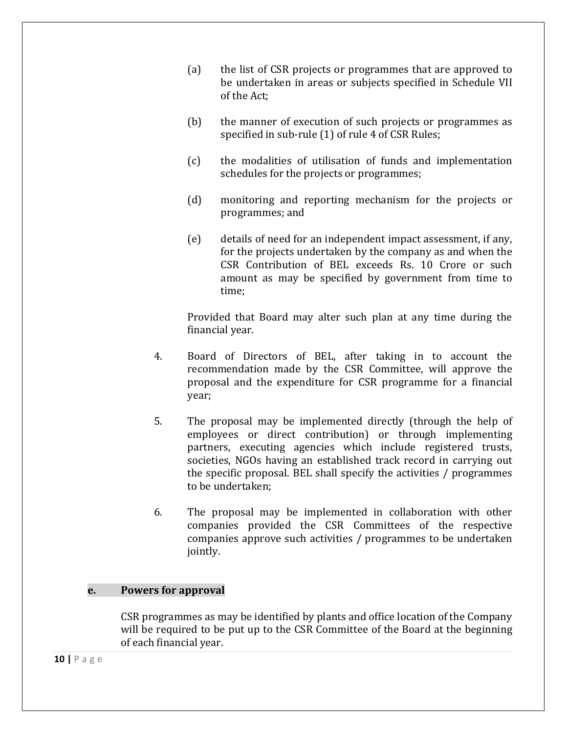- (a) the list of CSR projects or programmes that are approved to be undertaken in areas or subjects specified in Schedule VII of the Act;
- (b) the manner of execution of such projects or programmes as specified in sub-rule (1) of rule 4 of CSR Rules;
- (c) the modalities of utilisation of funds and implementation schedules for the projects or programmes;
- (d) monitoring and reporting mechanism for the projects or programmes; and
- (e) details of need for an independent impact assessment, if any, for the projects undertaken by the company as and when the CSR Contribution of BEL exceeds Rs. 10 Crore or such amount as may be specified by government from time to time;

Provided that Board may alter such plan at any time during the financial year.

- 4. Board of Directors of BEL, after taking in to account the recommendation made by the CSR Committee, will approve the proposal and the expenditure for CSR programme for a financial year;
- 5. The proposal may be implemented directly (through the help of employees or direct contribution) or through implementing partners, executing agencies which include registered trusts, societies, NGOs having an established track record in carrying out the specific proposal. BEL shall specify the activities / programmes to be undertaken;
- 6. The proposal may be implemented in collaboration with other companies provided the CSR Committees of the respective companies approve such activities / programmes to be undertaken jointly.

#### **e. Powers for approval**

CSR programmes as may be identified by plants and office location of the Company will be required to be put up to the CSR Committee of the Board at the beginning of each financial year.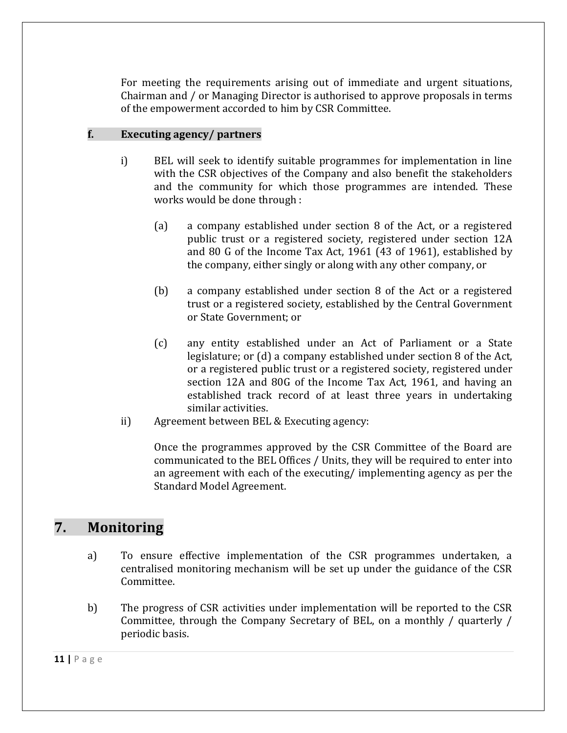For meeting the requirements arising out of immediate and urgent situations, Chairman and / or Managing Director is authorised to approve proposals in terms of the empowerment accorded to him by CSR Committee.

#### **f. Executing agency/ partners**

- i) BEL will seek to identify suitable programmes for implementation in line with the CSR objectives of the Company and also benefit the stakeholders and the community for which those programmes are intended. These works would be done through :
	- (a) a company established under section 8 of the Act, or a registered public trust or a registered society, registered under section 12A and 80 G of the Income Tax Act, 1961 (43 of 1961), established by the company, either singly or along with any other company, or
	- (b) a company established under section 8 of the Act or a registered trust or a registered society, established by the Central Government or State Government; or
	- (c) any entity established under an Act of Parliament or a State legislature; or (d) a company established under section 8 of the Act, or a registered public trust or a registered society, registered under section 12A and 80G of the Income Tax Act, 1961, and having an established track record of at least three years in undertaking similar activities.
- ii) Agreement between BEL & Executing agency:

Once the programmes approved by the CSR Committee of the Board are communicated to the BEL Offices / Units, they will be required to enter into an agreement with each of the executing/ implementing agency as per the Standard Model Agreement.

## <span id="page-10-0"></span>**7. Monitoring**

- a) To ensure effective implementation of the CSR programmes undertaken, a centralised monitoring mechanism will be set up under the guidance of the CSR Committee.
- b) The progress of CSR activities under implementation will be reported to the CSR Committee, through the Company Secretary of BEL, on a monthly / quarterly / periodic basis.